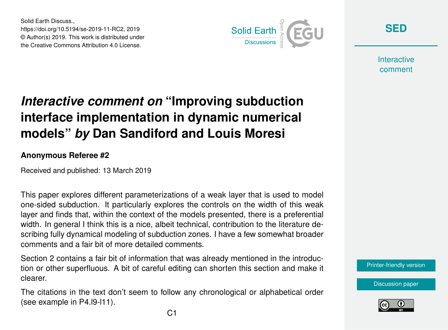Solid Earth Discuss., https://doi.org/10.5194/se-2019-11-RC2, 2019 © Author(s) 2019. This work is distributed under the Creative Commons Attribution 4.0 License.



**[SED](https://www.solid-earth-discuss.net/)**

**Interactive** comment

## *Interactive comment on* **"Improving subduction interface implementation in dynamic numerical models"** *by* **Dan Sandiford and Louis Moresi**

## **Anonymous Referee #2**

Received and published: 13 March 2019

This paper explores different parameterizations of a weak layer that is used to model one-sided subduction. It particularly explores the controls on the width of this weak layer and finds that, within the context of the models presented, there is a preferential width. In general I think this is a nice, albeit technical, contribution to the literature describing fully dynamical modeling of subduction zones. I have a few somewhat broader comments and a fair bit of more detailed comments.

Section 2 contains a fair bit of information that was already mentioned in the introduction or other superfluous. A bit of careful editing can shorten this section and make it clearer.

The citations in the text don't seem to follow any chronological or alphabetical order (see example in P4.l9-l11).

[Printer-friendly version](https://www.solid-earth-discuss.net/se-2019-11/se-2019-11-RC2-print.pdf)

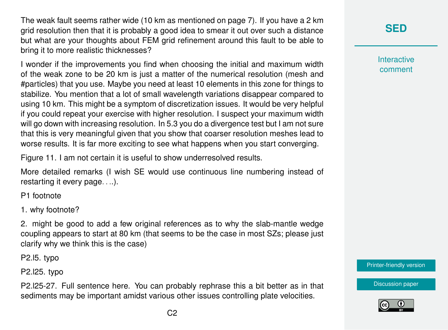The weak fault seems rather wide (10 km as mentioned on page 7). If you have a 2 km grid resolution then that it is probably a good idea to smear it out over such a distance but what are your thoughts about FEM grid refinement around this fault to be able to bring it to more realistic thicknesses?

I wonder if the improvements you find when choosing the initial and maximum width of the weak zone to be 20 km is just a matter of the numerical resolution (mesh and #particles) that you use. Maybe you need at least 10 elements in this zone for things to stabilize. You mention that a lot of small wavelength variations disappear compared to using 10 km. This might be a symptom of discretization issues. It would be very helpful if you could repeat your exercise with higher resolution. I suspect your maximum width will go down with increasing resolution. In 5.3 you do a divergence test but I am not sure that this is very meaningful given that you show that coarser resolution meshes lead to worse results. It is far more exciting to see what happens when you start converging.

Figure 11. I am not certain it is useful to show underresolved results.

More detailed remarks (I wish SE would use continuous line numbering instead of restarting it every page. . ..).

P1 footnote

1. why footnote?

2. might be good to add a few original references as to why the slab-mantle wedge coupling appears to start at 80 km (that seems to be the case in most SZs; please just clarify why we think this is the case)

P2.l5. typo

P2.l25. typo

P2.l25-27. Full sentence here. You can probably rephrase this a bit better as in that sediments may be important amidst various other issues controlling plate velocities.



**Interactive** comment

[Printer-friendly version](https://www.solid-earth-discuss.net/se-2019-11/se-2019-11-RC2-print.pdf)

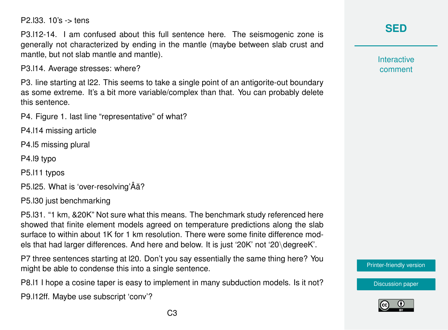P2.l33. 10's -> tens

P3.l12-14. I am confused about this full sentence here. The seismogenic zone is generally not characterized by ending in the mantle (maybe between slab crust and mantle, but not slab mantle and mantle).

P3.l14. Average stresses: where?

P3. line starting at l22. This seems to take a single point of an antigorite-out boundary as some extreme. It's a bit more variable/complex than that. You can probably delete this sentence.

P4. Figure 1. last line "representative" of what?

P4.l14 missing article

P4.l5 missing plural

P4.l9 typo

P5.l11 typos

P5.125. What is 'over-resolving' $\hat{A}$ ă?

P5.l30 just benchmarking

P5.l31. "1 km, &20K" Not sure what this means. The benchmark study referenced here showed that finite element models agreed on temperature predictions along the slab surface to within about 1K for 1 km resolution. There were some finite difference models that had larger differences. And here and below. It is just '20K' not '20\degreeK'.

P7 three sentences starting at l20. Don't you say essentially the same thing here? You might be able to condense this into a single sentence.

P8.l1 I hope a cosine taper is easy to implement in many subduction models. Is it not?

P9.l12ff. Maybe use subscript 'conv'?

**Interactive** comment

[Printer-friendly version](https://www.solid-earth-discuss.net/se-2019-11/se-2019-11-RC2-print.pdf)